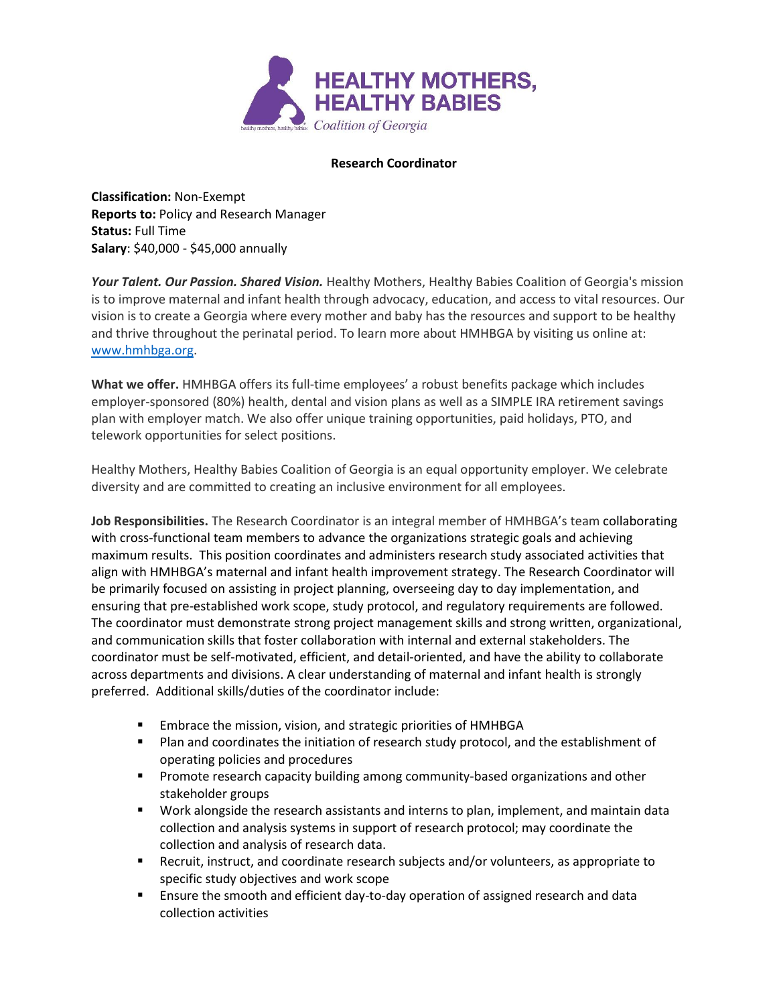

## **Research Coordinator**

**Classification:** Non-Exempt **Reports to:** Policy and Research Manager **Status:** Full Time **Salary**: \$40,000 - \$45,000 annually

*Your Talent. Our Passion. Shared Vision.* Healthy Mothers, Healthy Babies Coalition of Georgia's mission is to improve maternal and infant health through advocacy, education, and access to vital resources. Our vision is to create a Georgia where every mother and baby has the resources and support to be healthy and thrive throughout the perinatal period. To learn more about HMHBGA by visiting us online at: [www.hmhbga.org.](http://www.hmhbga.org/)

**What we offer.** HMHBGA offers its full-time employees' a robust benefits package which includes employer-sponsored (80%) health, dental and vision plans as well as a SIMPLE IRA retirement savings plan with employer match. We also offer unique training opportunities, paid holidays, PTO, and telework opportunities for select positions.

Healthy Mothers, Healthy Babies Coalition of Georgia is an equal opportunity employer. We celebrate diversity and are committed to creating an inclusive environment for all employees.

**Job Responsibilities.** The Research Coordinator is an integral member of HMHBGA's team collaborating with cross-functional team members to advance the organizations strategic goals and achieving maximum results. This position coordinates and administers research study associated activities that align with HMHBGA's maternal and infant health improvement strategy. The Research Coordinator will be primarily focused on assisting in project planning, overseeing day to day implementation, and ensuring that pre-established work scope, study protocol, and regulatory requirements are followed. The coordinator must demonstrate strong project management skills and strong written, organizational, and communication skills that foster collaboration with internal and external stakeholders. The coordinator must be self-motivated, efficient, and detail-oriented, and have the ability to collaborate across departments and divisions. A clear understanding of maternal and infant health is strongly preferred. Additional skills/duties of the coordinator include:

- Embrace the mission, vision, and strategic priorities of HMHBGA
- Plan and coordinates the initiation of research study protocol, and the establishment of operating policies and procedures
- **•** Promote research capacity building among community-based organizations and other stakeholder groups
- Work alongside the research assistants and interns to plan, implement, and maintain data collection and analysis systems in support of research protocol; may coordinate the collection and analysis of research data.
- Recruit, instruct, and coordinate research subjects and/or volunteers, as appropriate to specific study objectives and work scope
- **E** Ensure the smooth and efficient day-to-day operation of assigned research and data collection activities